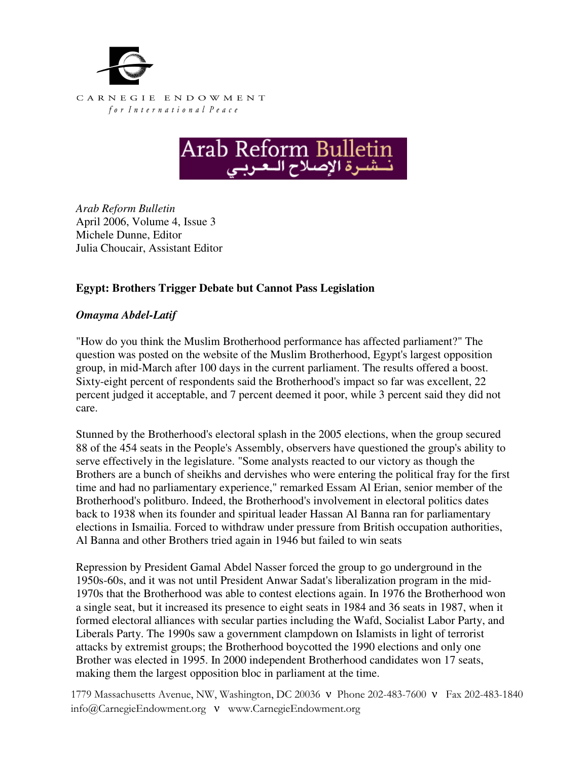



*Arab Reform Bulletin*  April 2006, Volume 4, Issue 3 Michele Dunne, Editor Julia Choucair, Assistant Editor

## **Egypt: Brothers Trigger Debate but Cannot Pass Legislation**

## *Omayma Abdel-Latif*

"How do you think the Muslim Brotherhood performance has affected parliament?" The question was posted on the website of the Muslim Brotherhood, Egypt's largest opposition group, in mid-March after 100 days in the current parliament. The results offered a boost. Sixty-eight percent of respondents said the Brotherhood's impact so far was excellent, 22 percent judged it acceptable, and 7 percent deemed it poor, while 3 percent said they did not care.

Stunned by the Brotherhood's electoral splash in the 2005 elections, when the group secured 88 of the 454 seats in the People's Assembly, observers have questioned the group's ability to serve effectively in the legislature. "Some analysts reacted to our victory as though the Brothers are a bunch of sheikhs and dervishes who were entering the political fray for the first time and had no parliamentary experience," remarked Essam Al Erian, senior member of the Brotherhood's politburo. Indeed, the Brotherhood's involvement in electoral politics dates back to 1938 when its founder and spiritual leader Hassan Al Banna ran for parliamentary elections in Ismailia. Forced to withdraw under pressure from British occupation authorities, Al Banna and other Brothers tried again in 1946 but failed to win seats

Repression by President Gamal Abdel Nasser forced the group to go underground in the 1950s-60s, and it was not until President Anwar Sadat's liberalization program in the mid-1970s that the Brotherhood was able to contest elections again. In 1976 the Brotherhood won a single seat, but it increased its presence to eight seats in 1984 and 36 seats in 1987, when it formed electoral alliances with secular parties including the Wafd, Socialist Labor Party, and Liberals Party. The 1990s saw a government clampdown on Islamists in light of terrorist attacks by extremist groups; the Brotherhood boycotted the 1990 elections and only one Brother was elected in 1995. In 2000 independent Brotherhood candidates won 17 seats, making them the largest opposition bloc in parliament at the time.

1779 Massachusetts Avenue, NW, Washington, DC 20036 ν Phone 202-483-7600 ν Fax 202-483-1840 info@CarnegieEndowment.org ν www.CarnegieEndowment.org